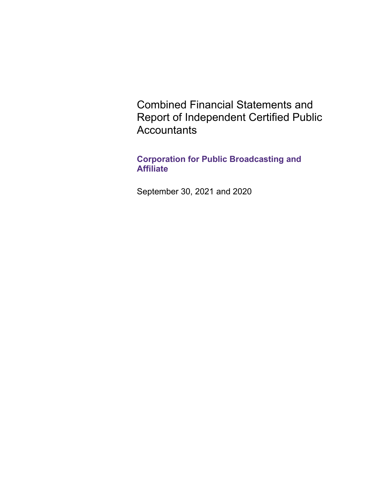Combined Financial Statements and Report of Independent Certified Public **Accountants** 

**Corporation for Public Broadcasting and Affiliate** 

September 30, 2021 and 2020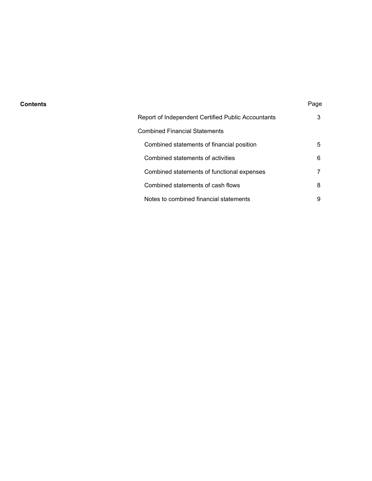## **Contents** Page

| Report of Independent Certified Public Accountants | 3 |
|----------------------------------------------------|---|
| Combined Financial Statements                      |   |
| Combined statements of financial position          | 5 |
| Combined statements of activities                  | 6 |
| Combined statements of functional expenses         |   |
| Combined statements of cash flows                  | 8 |
| Notes to combined financial statements             | 9 |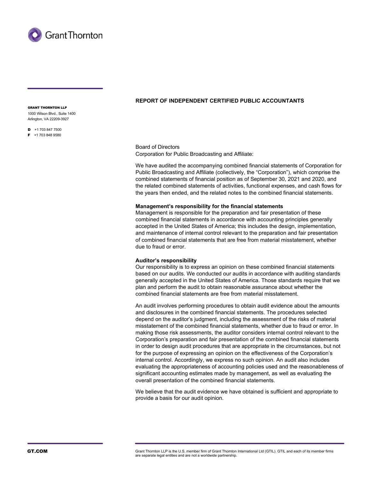

#### GRANT THORNTON LLP

1000 Wilson Blvd., Suite 1400 Arlington, VA 22209-3927

 $\blacksquare$  +1 703 847 7500  $F + 17038489580$ 

**REPORT OF INDEPENDENT CERTIFIED PUBLIC ACCOUNTANTS** 

Board of Directors Corporation for Public Broadcasting and Affiliate:

We have audited the accompanying combined financial statements of Corporation for Public Broadcasting and Affiliate (collectively, the "Corporation"), which comprise the combined statements of financial position as of September 30, 2021 and 2020, and the related combined statements of activities, functional expenses, and cash flows for the years then ended, and the related notes to the combined financial statements.

#### **Management's responsibility for the financial statements**

Management is responsible for the preparation and fair presentation of these combined financial statements in accordance with accounting principles generally accepted in the United States of America; this includes the design, implementation, and maintenance of internal control relevant to the preparation and fair presentation of combined financial statements that are free from material misstatement, whether due to fraud or error.

#### **Auditor's responsibility**

Our responsibility is to express an opinion on these combined financial statements based on our audits. We conducted our audits in accordance with auditing standards generally accepted in the United States of America. Those standards require that we plan and perform the audit to obtain reasonable assurance about whether the combined financial statements are free from material misstatement.

An audit involves performing procedures to obtain audit evidence about the amounts and disclosures in the combined financial statements. The procedures selected depend on the auditor's judgment, including the assessment of the risks of material misstatement of the combined financial statements, whether due to fraud or error. In making those risk assessments, the auditor considers internal control relevant to the Corporation's preparation and fair presentation of the combined financial statements in order to design audit procedures that are appropriate in the circumstances, but not for the purpose of expressing an opinion on the effectiveness of the Corporation's internal control. Accordingly, we express no such opinion. An audit also includes evaluating the appropriateness of accounting policies used and the reasonableness of significant accounting estimates made by management, as well as evaluating the overall presentation of the combined financial statements.

We believe that the audit evidence we have obtained is sufficient and appropriate to provide a basis for our audit opinion.

GT.COM GTACOM Grant Thornton LLP is the U.S. member firm of Grant Thornton International Ltd (GTIL). GTIL and each of its member firms are separate legal entities and are not a worldwide partnership.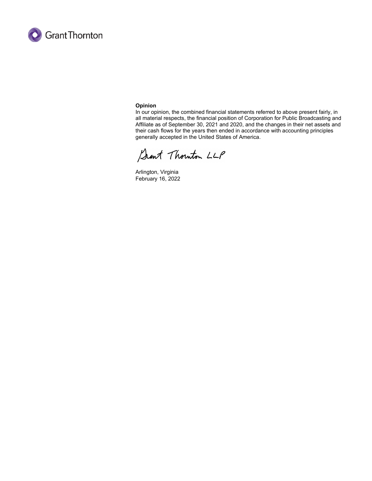

#### **Opinion**

In our opinion, the combined financial statements referred to above present fairly, in all material respects, the financial position of Corporation for Public Broadcasting and Affiliate as of September 30, 2021 and 2020, and the changes in their net assets and their cash flows for the years then ended in accordance with accounting principles generally accepted in the United States of America.

Sant Thouton LLP

Arlington, Virginia February 16, 2022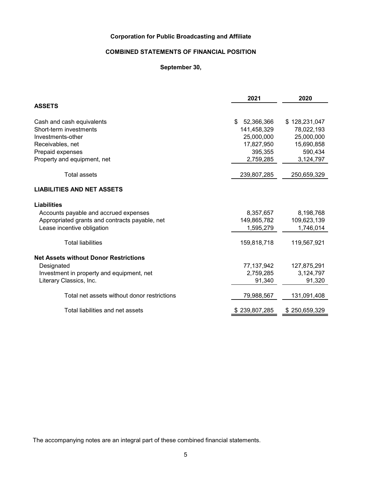# **COMBINED STATEMENTS OF FINANCIAL POSITION**

# **September 30,**

| <b>ASSETS</b>                                  |                  |               |
|------------------------------------------------|------------------|---------------|
|                                                |                  |               |
| Cash and cash equivalents                      | 52,366,366<br>\$ | \$128,231,047 |
| Short-term investments                         | 141,458,329      | 78,022,193    |
| Investments-other                              | 25,000,000       | 25,000,000    |
| Receivables, net                               | 17,827,950       | 15,690,858    |
| Prepaid expenses                               | 395,355          | 590,434       |
| Property and equipment, net                    | 2,759,285        | 3,124,797     |
| <b>Total assets</b>                            | 239,807,285      | 250,659,329   |
| <b>LIABILITIES AND NET ASSETS</b>              |                  |               |
| <b>Liabilities</b>                             |                  |               |
| Accounts payable and accrued expenses          | 8,357,657        | 8,198,768     |
| Appropriated grants and contracts payable, net | 149,865,782      | 109,623,139   |
| Lease incentive obligation                     | 1,595,279        | 1,746,014     |
| <b>Total liabilities</b>                       | 159,818,718      | 119,567,921   |
| <b>Net Assets without Donor Restrictions</b>   |                  |               |
| Designated                                     | 77, 137, 942     | 127,875,291   |
| Investment in property and equipment, net      | 2,759,285        | 3,124,797     |
| Literary Classics, Inc.                        | 91,340           | 91,320        |
| Total net assets without donor restrictions    | 79,988,567       | 131,091,408   |
| Total liabilities and net assets               | \$239,807,285    | \$250,659,329 |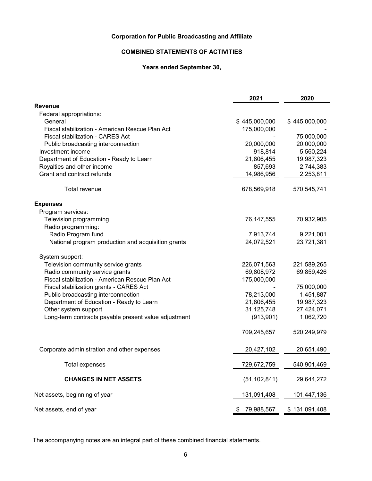# **COMBINED STATEMENTS OF ACTIVITIES**

# **Years ended September 30,**

|                                                      | 2021             | 2020          |
|------------------------------------------------------|------------------|---------------|
| <b>Revenue</b>                                       |                  |               |
| Federal appropriations:                              |                  |               |
| General                                              | \$445,000,000    | \$445,000,000 |
| Fiscal stabilization - American Rescue Plan Act      | 175,000,000      |               |
| Fiscal stabilization - CARES Act                     |                  | 75,000,000    |
| Public broadcasting interconnection                  | 20,000,000       | 20,000,000    |
| Investment income                                    | 918,814          | 5,560,224     |
| Department of Education - Ready to Learn             | 21,806,455       | 19,987,323    |
| Royalties and other income                           | 857,693          | 2,744,383     |
| Grant and contract refunds                           | 14,986,956       | 2,253,811     |
| Total revenue                                        | 678,569,918      | 570,545,741   |
| <b>Expenses</b>                                      |                  |               |
| Program services:                                    |                  |               |
| Television programming                               | 76, 147, 555     | 70,932,905    |
| Radio programming:                                   |                  |               |
| Radio Program fund                                   | 7,913,744        | 9,221,001     |
| National program production and acquisition grants   | 24,072,521       | 23,721,381    |
| System support:                                      |                  |               |
| Television community service grants                  | 226,071,563      | 221,589,265   |
| Radio community service grants                       | 69,808,972       | 69,859,426    |
| Fiscal stabilization - American Rescue Plan Act      | 175,000,000      |               |
| Fiscal stabilization grants - CARES Act              |                  | 75,000,000    |
| Public broadcasting interconnection                  | 78,213,000       | 1,451,887     |
| Department of Education - Ready to Learn             | 21,806,455       | 19,987,323    |
| Other system support                                 | 31,125,748       | 27,424,071    |
| Long-term contracts payable present value adjustment | (913, 901)       | 1,062,720     |
|                                                      | 709,245,657      | 520,249,979   |
| Corporate administration and other expenses          | 20,427,102       | 20,651,490    |
| <b>Total expenses</b>                                | 729,672,759      | 540,901,469   |
| <b>CHANGES IN NET ASSETS</b>                         | (51, 102, 841)   | 29,644,272    |
| Net assets, beginning of year                        | 131,091,408      | 101,447,136   |
| Net assets, end of year                              | 79,988,567<br>P. | \$131,091,408 |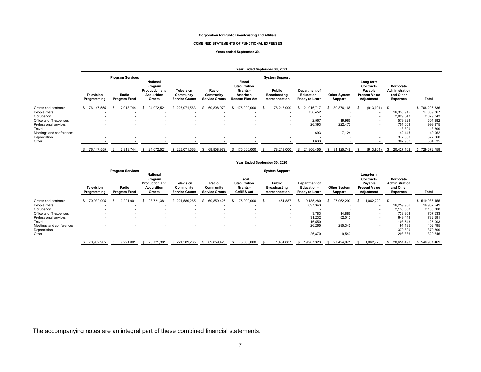#### **COMBINED STATEMENTS OF FUNCTIONAL EXPENSES**

#### **Years ended September 30,**

|                          |                           |                              |                                                                                     |                                                  |                                             |                                                                                  | Year Ended September 30, 2021                    |                                                       |                                |                                                                         |                                                                    |               |
|--------------------------|---------------------------|------------------------------|-------------------------------------------------------------------------------------|--------------------------------------------------|---------------------------------------------|----------------------------------------------------------------------------------|--------------------------------------------------|-------------------------------------------------------|--------------------------------|-------------------------------------------------------------------------|--------------------------------------------------------------------|---------------|
|                          |                           | <b>Program Services</b>      |                                                                                     |                                                  |                                             |                                                                                  | <b>System Support</b>                            |                                                       |                                |                                                                         |                                                                    |               |
|                          | Television<br>Programming | Radio<br><b>Program Fund</b> | <b>National</b><br>Program<br><b>Production and</b><br><b>Acquisition</b><br>Grants | Television<br>Community<br><b>Service Grants</b> | Radio<br>Community<br><b>Service Grants</b> | Fiscal<br><b>Stabilization</b><br>Grants -<br>American<br><b>Rescue Plan Act</b> | Public<br><b>Broadcasting</b><br>Interconnection | Department of<br><b>Education -</b><br>Ready to Learn | <b>Other System</b><br>Support | Long-term<br>Contracts<br>Payable<br><b>Present Value</b><br>Adjustment | Corporate<br><b>Administration</b><br>and Other<br><b>Expenses</b> | Total         |
| Grants and contracts     | \$76,147,555              | 7,913,744                    | 24,072,521                                                                          | \$226,071,563                                    | 69,808,972                                  | 175,000,000<br>S.                                                                | 78,213,000<br>-S                                 | 21.016.717                                            | 30,876,165                     | $(913,901)$ \$<br>- 96                                                  | ۰.                                                                 | 708,206,336   |
| People costs             |                           | $\overline{\phantom{a}}$     |                                                                                     |                                                  |                                             |                                                                                  | $\overline{\phantom{a}}$                         | 758,452                                               |                                |                                                                         | 16,330,915                                                         | 17,089,367    |
| Occupancy                |                           | $\overline{\phantom{a}}$     |                                                                                     |                                                  |                                             |                                                                                  | -                                                |                                                       |                                | $\sim$                                                                  | 2,029,843                                                          | 2,029,843     |
| Office and IT expenses   |                           | $\overline{\phantom{a}}$     | $\overline{\phantom{a}}$                                                            | $\overline{\phantom{a}}$                         | $\sim$                                      | $\overline{\phantom{a}}$                                                         | $\sim$                                           | 2,567                                                 | 19,986                         | $\sim$                                                                  | 579.329                                                            | 601,882       |
| Professional services    |                           | $\overline{\phantom{a}}$     | $\overline{\phantom{a}}$                                                            | $\overline{\phantom{a}}$                         | $\sim$                                      |                                                                                  | $\sim$                                           | 26,393                                                | 222,473                        | $\overline{\phantom{a}}$                                                | 751,009                                                            | 999,875       |
| Travel                   |                           | $\overline{\phantom{a}}$     |                                                                                     | $\overline{\phantom{a}}$                         |                                             |                                                                                  | $\overline{\phantom{a}}$                         | $\overline{\phantom{a}}$                              |                                | $\overline{\phantom{a}}$                                                | 13,899                                                             | 13,899        |
| Meetings and conferences |                           | $\overline{\phantom{a}}$     | $\overline{\phantom{a}}$                                                            | $\overline{\phantom{a}}$                         |                                             |                                                                                  | $\overline{\phantom{a}}$                         | 693                                                   | 7,124                          | $\overline{\phantom{a}}$                                                | 42,145                                                             | 49,962        |
| Depreciation             | . .                       | $\overline{\phantom{a}}$     | $\overline{\phantom{a}}$                                                            | $\sim$                                           | $\overline{\phantom{a}}$                    | $\overline{\phantom{0}}$                                                         | $\overline{\phantom{a}}$                         | . .                                                   |                                | $\sim$                                                                  | 377,060                                                            | 377,060       |
| Other                    |                           | $\blacksquare$               | $\overline{\phantom{a}}$                                                            |                                                  |                                             |                                                                                  |                                                  | .633                                                  | $\overline{\phantom{a}}$       |                                                                         | 302,902                                                            | 304,535       |
|                          | \$ 76,147,555             | 7,913,744                    | 24,072,521<br>s.                                                                    | \$226,071,563                                    | 69,808,972<br>s.                            | \$175,000,000                                                                    | 78,213,000<br>- SS                               | 21,806,455                                            | \$31,125,748                   | (913, 901)                                                              | 20,427,102<br><b>S</b>                                             | \$729,672,759 |

#### **Year Ended September 30, 2020**

|                          |                                  | <b>Program Services</b>      |                                                                              |                                                  | <b>System Support</b>                       |                                                                |                                                  |                                                       |                                |                                                                                |                                                             |               |
|--------------------------|----------------------------------|------------------------------|------------------------------------------------------------------------------|--------------------------------------------------|---------------------------------------------|----------------------------------------------------------------|--------------------------------------------------|-------------------------------------------------------|--------------------------------|--------------------------------------------------------------------------------|-------------------------------------------------------------|---------------|
|                          | <b>Television</b><br>Programming | Radio<br><b>Program Fund</b> | National<br>Program<br><b>Production and</b><br><b>Acquisition</b><br>Grants | Television<br>Community<br><b>Service Grants</b> | Radio<br>Community<br><b>Service Grants</b> | Fiscal<br><b>Stabilization</b><br>Grants -<br><b>CARES Act</b> | Public<br><b>Broadcasting</b><br>Interconnection | Department of<br><b>Education -</b><br>Ready to Learn | <b>Other System</b><br>Support | Long-term<br><b>Contracts</b><br>Payable<br><b>Present Value</b><br>Adjustment | Corporate<br>Administration<br>and Other<br><b>Expenses</b> | Total         |
| Grants and contracts     | \$70.932.905                     | 9.221.001                    | 23.721.381                                                                   | \$221<br>.589.265                                | 69,859,426                                  | 75.000.000                                                     | 1,451,887                                        | 19.185.280                                            | 27.062.290                     | 1,062,720                                                                      | $\overline{\phantom{a}}$                                    | \$519,086,155 |
| People costs             |                                  |                              | $\overline{\phantom{a}}$                                                     |                                                  | $\overline{\phantom{a}}$                    |                                                                | ۰.                                               | 697,343                                               |                                | $\overline{\phantom{a}}$                                                       | 16,259,906                                                  | 16,957,249    |
| Occupancy                |                                  |                              |                                                                              |                                                  |                                             |                                                                | ۰.                                               |                                                       |                                | -                                                                              | 2,130,308                                                   | 2,130,308     |
| Office and IT expenses   |                                  |                              |                                                                              |                                                  |                                             |                                                                | ۰.                                               | 3,783                                                 | 14,886                         | $\overline{\phantom{a}}$                                                       | 738,864                                                     | 757,533       |
| Professional services    |                                  |                              |                                                                              |                                                  |                                             |                                                                | . .                                              | 31,232                                                | 52,010                         | $\overline{\phantom{a}}$                                                       | 649,449                                                     | 732,691       |
| Travel                   |                                  |                              |                                                                              |                                                  |                                             |                                                                | ۰.                                               | 16,550                                                |                                | $\overline{\phantom{a}}$                                                       | 108,543                                                     | 125,093       |
| Meetings and conferences |                                  |                              |                                                                              |                                                  | -                                           |                                                                |                                                  | 26,265                                                | 285,345                        | $\overline{\phantom{a}}$                                                       | 91,185                                                      | 402,795       |
| Depreciation             | . .                              |                              |                                                                              |                                                  | $\overline{\phantom{a}}$                    |                                                                | $\overline{\phantom{a}}$                         |                                                       |                                | $\overline{\phantom{a}}$                                                       | 379,899                                                     | 379,899       |
| Other                    |                                  |                              |                                                                              |                                                  |                                             |                                                                |                                                  | 26,870                                                | 9,540                          |                                                                                | 293,336                                                     | 329,746       |
|                          | 70,932,905                       | 9,221,001                    | 23.721.381                                                                   | \$221,589,265                                    | 69,859,426                                  | 75.000.000                                                     | 1,451,887                                        | 19,987,323                                            | 27.424.071                     | 1,062,720                                                                      | 20,651,490                                                  | \$540,901,469 |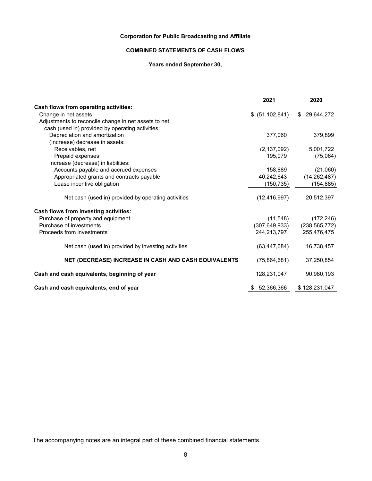# **COMBINED STATEMENTS OF CASH FLOWS**

# **Years ended September 30,**

|                                                      | 2021              | 2020              |
|------------------------------------------------------|-------------------|-------------------|
| Cash flows from operating activities:                |                   |                   |
| Change in net assets                                 | \$ (51, 102, 841) | 29,644,272<br>\$. |
| Adjustments to reconcile change in net assets to net |                   |                   |
| cash (used in) provided by operating activities:     |                   |                   |
| Depreciation and amortization                        | 377,060           | 379,899           |
| (Increase) decrease in assets:                       |                   |                   |
| Receivables, net                                     | (2, 137, 092)     | 5,001,722         |
| Prepaid expenses                                     | 195,079           | (75,064)          |
| Increase (decrease) in liabilities:                  |                   |                   |
| Accounts payable and accrued expenses                | 158,889           | (21,060)          |
| Appropriated grants and contracts payable            | 40,242,643        | (14, 262, 487)    |
| Lease incentive obligation                           | (150, 735)        | (154, 885)        |
| Net cash (used in) provided by operating activities  | (12, 416, 997)    | 20,512,397        |
| Cash flows from investing activities:                |                   |                   |
| Purchase of property and equipment                   | (11,548)          | (172, 246)        |
| Purchase of investments                              | (307, 649, 933)   | (238, 565, 772)   |
| Proceeds from investments                            | 244,213,797       | 255,476,475       |
| Net cash (used in) provided by investing activities  | (63, 447, 684)    | 16,738,457        |
| NET (DECREASE) INCREASE IN CASH AND CASH EQUIVALENTS | (75,864,681)      | 37,250,854        |
| Cash and cash equivalents, beginning of year         | 128,231,047       | 90,980,193        |
| Cash and cash equivalents, end of year               | 52,366,366<br>S   | \$128,231,047     |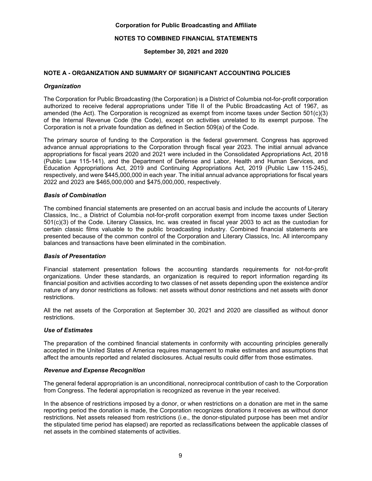# **NOTES TO COMBINED FINANCIAL STATEMENTS**

**September 30, 2021 and 2020**

# **NOTE A - ORGANIZATION AND SUMMARY OF SIGNIFICANT ACCOUNTING POLICIES**

## *Organization*

The Corporation for Public Broadcasting (the Corporation) is a District of Columbia not-for-profit corporation authorized to receive federal appropriations under Title II of the Public Broadcasting Act of 1967, as amended (the Act). The Corporation is recognized as exempt from income taxes under Section 501(c)(3) of the Internal Revenue Code (the Code), except on activities unrelated to its exempt purpose. The Corporation is not a private foundation as defined in Section 509(a) of the Code.

The primary source of funding to the Corporation is the federal government. Congress has approved advance annual appropriations to the Corporation through fiscal year 2023. The initial annual advance appropriations for fiscal years 2020 and 2021 were included in the Consolidated Appropriations Act, 2018 (Public Law 115-141), and the Department of Defense and Labor, Health and Human Services, and Education Appropriations Act, 2019 and Continuing Appropriations Act, 2019 (Public Law 115-245), respectively, and were \$445,000,000 in each year. The initial annual advance appropriations for fiscal years 2022 and 2023 are \$465,000,000 and \$475,000,000, respectively.

# *Basis of Combination*

The combined financial statements are presented on an accrual basis and include the accounts of Literary Classics, Inc., a District of Columbia not-for-profit corporation exempt from income taxes under Section 501(c)(3) of the Code. Literary Classics, Inc. was created in fiscal year 2003 to act as the custodian for certain classic films valuable to the public broadcasting industry. Combined financial statements are presented because of the common control of the Corporation and Literary Classics, Inc. All intercompany balances and transactions have been eliminated in the combination.

## *Basis of Presentation*

Financial statement presentation follows the accounting standards requirements for not-for-profit organizations. Under these standards, an organization is required to report information regarding its financial position and activities according to two classes of net assets depending upon the existence and/or nature of any donor restrictions as follows: net assets without donor restrictions and net assets with donor restrictions.

All the net assets of the Corporation at September 30, 2021 and 2020 are classified as without donor restrictions.

# *Use of Estimates*

The preparation of the combined financial statements in conformity with accounting principles generally accepted in the United States of America requires management to make estimates and assumptions that affect the amounts reported and related disclosures. Actual results could differ from those estimates.

## *Revenue and Expense Recognition*

The general federal appropriation is an unconditional, nonreciprocal contribution of cash to the Corporation from Congress. The federal appropriation is recognized as revenue in the year received.

In the absence of restrictions imposed by a donor, or when restrictions on a donation are met in the same reporting period the donation is made, the Corporation recognizes donations it receives as without donor restrictions. Net assets released from restrictions (i.e., the donor-stipulated purpose has been met and/or the stipulated time period has elapsed) are reported as reclassifications between the applicable classes of net assets in the combined statements of activities.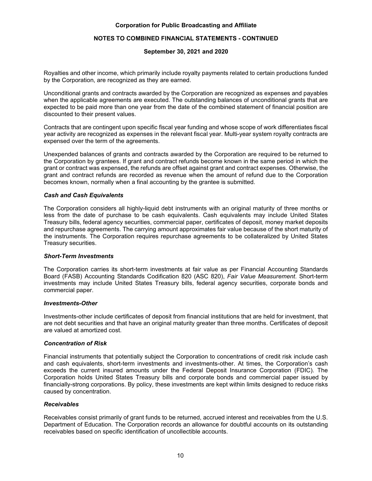# **NOTES TO COMBINED FINANCIAL STATEMENTS - CONTINUED**

# **September 30, 2021 and 2020**

Royalties and other income, which primarily include royalty payments related to certain productions funded by the Corporation, are recognized as they are earned.

Unconditional grants and contracts awarded by the Corporation are recognized as expenses and payables when the applicable agreements are executed. The outstanding balances of unconditional grants that are expected to be paid more than one year from the date of the combined statement of financial position are discounted to their present values.

Contracts that are contingent upon specific fiscal year funding and whose scope of work differentiates fiscal year activity are recognized as expenses in the relevant fiscal year. Multi-year system royalty contracts are expensed over the term of the agreements.

Unexpended balances of grants and contracts awarded by the Corporation are required to be returned to the Corporation by grantees. If grant and contract refunds become known in the same period in which the grant or contract was expensed, the refunds are offset against grant and contract expenses. Otherwise, the grant and contract refunds are recorded as revenue when the amount of refund due to the Corporation becomes known, normally when a final accounting by the grantee is submitted.

## *Cash and Cash Equivalents*

The Corporation considers all highly-liquid debt instruments with an original maturity of three months or less from the date of purchase to be cash equivalents. Cash equivalents may include United States Treasury bills, federal agency securities, commercial paper, certificates of deposit, money market deposits and repurchase agreements. The carrying amount approximates fair value because of the short maturity of the instruments. The Corporation requires repurchase agreements to be collateralized by United States Treasury securities.

## *Short-Term Investments*

The Corporation carries its short-term investments at fair value as per Financial Accounting Standards Board (FASB) Accounting Standards Codification 820 (ASC 820), *Fair Value Measurement*. Short-term investments may include United States Treasury bills, federal agency securities, corporate bonds and commercial paper.

#### *Investments-Other*

Investments-other include certificates of deposit from financial institutions that are held for investment, that are not debt securities and that have an original maturity greater than three months. Certificates of deposit are valued at amortized cost.

## *Concentration of Risk*

Financial instruments that potentially subject the Corporation to concentrations of credit risk include cash and cash equivalents, short-term investments and investments-other. At times, the Corporation's cash exceeds the current insured amounts under the Federal Deposit Insurance Corporation (FDIC). The Corporation holds United States Treasury bills and corporate bonds and commercial paper issued by financially-strong corporations. By policy, these investments are kept within limits designed to reduce risks caused by concentration.

## *Receivables*

Receivables consist primarily of grant funds to be returned, accrued interest and receivables from the U.S. Department of Education. The Corporation records an allowance for doubtful accounts on its outstanding receivables based on specific identification of uncollectible accounts.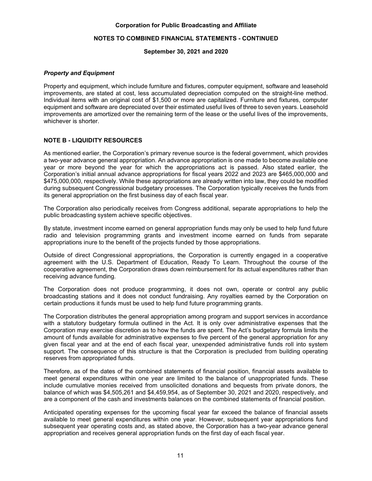# **NOTES TO COMBINED FINANCIAL STATEMENTS - CONTINUED**

#### **September 30, 2021 and 2020**

## *Property and Equipment*

Property and equipment, which include furniture and fixtures, computer equipment, software and leasehold improvements, are stated at cost, less accumulated depreciation computed on the straight-line method. Individual items with an original cost of \$1,500 or more are capitalized. Furniture and fixtures, computer equipment and software are depreciated over their estimated useful lives of three to seven years. Leasehold improvements are amortized over the remaining term of the lease or the useful lives of the improvements, whichever is shorter.

# **NOTE B - LIQUIDITY RESOURCES**

As mentioned earlier, the Corporation's primary revenue source is the federal government, which provides a two-year advance general appropriation. An advance appropriation is one made to become available one year or more beyond the year for which the appropriations act is passed. Also stated earlier, the Corporation's initial annual advance appropriations for fiscal years 2022 and 2023 are \$465,000,000 and \$475,000,000, respectively. While these appropriations are already written into law, they could be modified during subsequent Congressional budgetary processes. The Corporation typically receives the funds from its general appropriation on the first business day of each fiscal year.

The Corporation also periodically receives from Congress additional, separate appropriations to help the public broadcasting system achieve specific objectives.

By statute, investment income earned on general appropriation funds may only be used to help fund future radio and television programming grants and investment income earned on funds from separate appropriations inure to the benefit of the projects funded by those appropriations.

Outside of direct Congressional appropriations, the Corporation is currently engaged in a cooperative agreement with the U.S. Department of Education, Ready To Learn. Throughout the course of the cooperative agreement, the Corporation draws down reimbursement for its actual expenditures rather than receiving advance funding.

The Corporation does not produce programming, it does not own, operate or control any public broadcasting stations and it does not conduct fundraising. Any royalties earned by the Corporation on certain productions it funds must be used to help fund future programming grants.

The Corporation distributes the general appropriation among program and support services in accordance with a statutory budgetary formula outlined in the Act. It is only over administrative expenses that the Corporation may exercise discretion as to how the funds are spent. The Act's budgetary formula limits the amount of funds available for administrative expenses to five percent of the general appropriation for any given fiscal year and at the end of each fiscal year, unexpended administrative funds roll into system support. The consequence of this structure is that the Corporation is precluded from building operating reserves from appropriated funds.

Therefore, as of the dates of the combined statements of financial position, financial assets available to meet general expenditures within one year are limited to the balance of unappropriated funds. These include cumulative monies received from unsolicited donations and bequests from private donors, the balance of which was \$4,505,261 and \$4,459,954, as of September 30, 2021 and 2020, respectively, and are a component of the cash and investments balances on the combined statements of financial position.

Anticipated operating expenses for the upcoming fiscal year far exceed the balance of financial assets available to meet general expenditures within one year. However, subsequent year appropriations fund subsequent year operating costs and, as stated above, the Corporation has a two-year advance general appropriation and receives general appropriation funds on the first day of each fiscal year.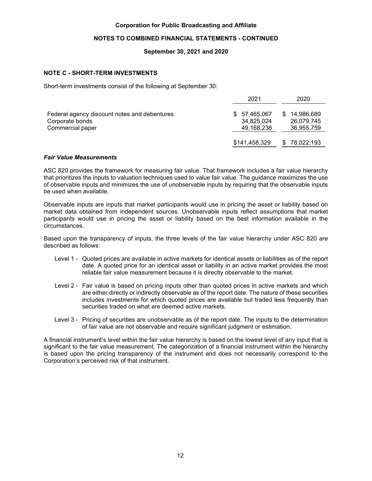# **NOTES TO COMBINED FINANCIAL STATEMENTS - CONTINUED**

# **September 30, 2021 and 2020**

# **NOTE C - SHORT-TERM INVESTMENTS**

Short-term investments consist of the following at September 30:

| 2021          | 2020                       |
|---------------|----------------------------|
| \$57,465,067  | \$14,986,689<br>26,079,745 |
| 49,168,238    | 36,955,759                 |
| \$141,458,329 | 78,022,193                 |
|               | 34,825,024                 |

#### *Fair Value Measurements*

ASC 820 provides the framework for measuring fair value. That framework includes a fair value hierarchy that prioritizes the inputs to valuation techniques used to value fair value. The guidance maximizes the use of observable inputs and minimizes the use of unobservable inputs by requiring that the observable inputs be used when available.

Observable inputs are inputs that market participants would use in pricing the asset or liability based on market data obtained from independent sources. Unobservable inputs reflect assumptions that market participants would use in pricing the asset or liability based on the best information available in the circumstances.

Based upon the transparency of inputs, the three levels of the fair value hierarchy under ASC 820 are described as follows:

- Level 1 Quoted prices are available in active markets for identical assets or liabilities as of the report date. A quoted price for an identical asset or liability in an active market provides the most reliable fair value measurement because it is directly observable to the market.
- Level 2 Fair value is based on pricing inputs other than quoted prices in active markets and which are either directly or indirectly observable as of the report date. The nature of these securities includes investments for which quoted prices are available but traded less frequently than securities traded on what are deemed active markets.
- Level 3 Pricing of securities are unobservable as of the report date. The inputs to the determination of fair value are not observable and require significant judgment or estimation.

A financial instrument's level within the fair value hierarchy is based on the lowest level of any input that is significant to the fair value measurement. The categorization of a financial instrument within the hierarchy is based upon the pricing transparency of the instrument and does not necessarily correspond to the Corporation's perceived risk of that instrument.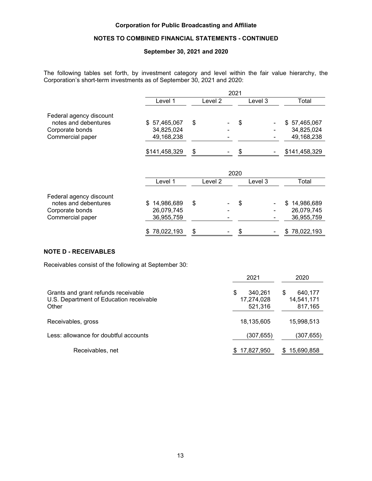# **NOTES TO COMBINED FINANCIAL STATEMENTS - CONTINUED**

# **September 30, 2021 and 2020**

The following tables set forth, by investment category and level within the fair value hierarchy, the Corporation's short-term investments as of September 30, 2021 and 2020:

|                                                                                        |                                                           |          | 2021     |         |                                                           |
|----------------------------------------------------------------------------------------|-----------------------------------------------------------|----------|----------|---------|-----------------------------------------------------------|
|                                                                                        | Level 1                                                   | Level 2  |          | Level 3 | Total                                                     |
| Federal agency discount<br>notes and debentures<br>Corporate bonds<br>Commercial paper | \$57,465,067<br>34,825,024<br>49,168,238<br>\$141,458,329 | \$<br>\$ | \$<br>\$ |         | \$57,465,067<br>34,825,024<br>49,168,238<br>\$141,458,329 |
|                                                                                        |                                                           |          | 2020     |         |                                                           |
|                                                                                        | Level 1                                                   | Level 2  |          | Level 3 | Total                                                     |
| Federal agency discount<br>notes and debentures<br>Corporate bonds<br>Commercial paper | 14,986,689<br>\$<br>26,079,745<br>36,955,759              | \$       | \$       |         | \$<br>14,986,689<br>26,079,745<br>36,955,759              |
|                                                                                        | 78,022,193<br>\$                                          | \$       | \$       |         | \$78,022,193                                              |

# **NOTE D - RECEIVABLES**

Receivables consist of the following at September 30:

|                                                                                         | 2021                                  | 2020                                  |
|-----------------------------------------------------------------------------------------|---------------------------------------|---------------------------------------|
| Grants and grant refunds receivable<br>U.S. Department of Education receivable<br>Other | S<br>340.261<br>17,274,028<br>521,316 | 640,177<br>S<br>14,541,171<br>817,165 |
| Receivables, gross                                                                      | 18,135,605                            | 15,998,513                            |
| Less: allowance for doubtful accounts                                                   | (307, 655)                            | (307,655)                             |
| Receivables, net                                                                        | \$17,827,950                          | 15,690,858                            |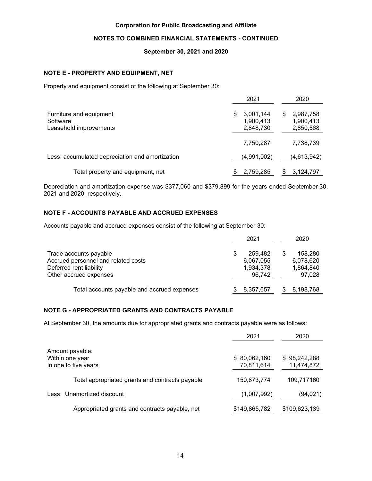# **NOTES TO COMBINED FINANCIAL STATEMENTS - CONTINUED**

# **September 30, 2021 and 2020**

# **NOTE E - PROPERTY AND EQUIPMENT, NET**

Property and equipment consist of the following at September 30:

|                                                               | 2021                                     | 2020                                     |
|---------------------------------------------------------------|------------------------------------------|------------------------------------------|
| Furniture and equipment<br>Software<br>Leasehold improvements | 3,001,144<br>S<br>1,900,413<br>2,848,730 | 2,987,758<br>S<br>1,900,413<br>2,850,568 |
|                                                               | 7,750,287                                | 7,738,739                                |
| Less: accumulated depreciation and amortization               | (4,991,002)                              | (4,613,942)                              |
| Total property and equipment, net                             | 2,759,285                                | 3,124,797<br>S                           |

Depreciation and amortization expense was \$377,060 and \$379,899 for the years ended September 30, 2021 and 2020, respectively.

# **NOTE F - ACCOUNTS PAYABLE AND ACCRUED EXPENSES**

Accounts payable and accrued expenses consist of the following at September 30:

|                                             | 2021      |   | 2020      |
|---------------------------------------------|-----------|---|-----------|
| Trade accounts payable                      | 259.482   | S | 158,280   |
| Accrued personnel and related costs         | 6,067,055 |   | 6,078,620 |
| Deferred rent liability                     | 1,934,378 |   | 1,864,840 |
| Other accrued expenses                      | 96.742    |   | 97,028    |
| Total accounts payable and accrued expenses | 8,357,657 |   | 8,198,768 |

# **NOTE G - APPROPRIATED GRANTS AND CONTRACTS PAYABLE**

At September 30, the amounts due for appropriated grants and contracts payable were as follows:

|                                                 | 2021          | 2020          |
|-------------------------------------------------|---------------|---------------|
| Amount payable:                                 |               |               |
| Within one year                                 | \$80,062,160  | \$98,242,288  |
| In one to five years                            | 70,811,614    | 11,474,872    |
| Total appropriated grants and contracts payable | 150,873,774   | 109,717160    |
| Less: Unamortized discount                      | (1,007,992)   | (94, 021)     |
| Appropriated grants and contracts payable, net  | \$149,865,782 | \$109,623,139 |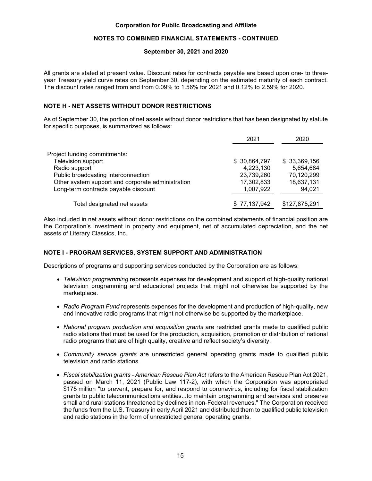# **NOTES TO COMBINED FINANCIAL STATEMENTS - CONTINUED**

## **September 30, 2021 and 2020**

All grants are stated at present value. Discount rates for contracts payable are based upon one- to threeyear Treasury yield curve rates on September 30, depending on the estimated maturity of each contract. The discount rates ranged from and from 0.09% to 1.56% for 2021 and 0.12% to 2.59% for 2020.

# **NOTE H - NET ASSETS WITHOUT DONOR RESTRICTIONS**

As of September 30, the portion of net assets without donor restrictions that has been designated by statute for specific purposes, is summarized as follows:

|                                                   | 2021          | 2020          |
|---------------------------------------------------|---------------|---------------|
| Project funding commitments:                      |               |               |
| Television support                                | \$ 30,864,797 | \$33,369,156  |
| Radio support                                     | 4,223,130     | 5,654,684     |
| Public broadcasting interconnection               | 23,739,260    | 70,120,299    |
| Other system support and corporate administration | 17,302,833    | 18,637,131    |
| Long-term contracts payable discount              | 1,007,922     | 94,021        |
| Total designated net assets                       | \$77,137,942  | \$127,875,291 |

Also included in net assets without donor restrictions on the combined statements of financial position are the Corporation's investment in property and equipment, net of accumulated depreciation, and the net assets of Literary Classics, Inc.

# **NOTE I - PROGRAM SERVICES, SYSTEM SUPPORT AND ADMINISTRATION**

Descriptions of programs and supporting services conducted by the Corporation are as follows:

- *Television programming* represents expenses for development and support of high-quality national television programming and educational projects that might not otherwise be supported by the marketplace.
- *Radio Program Fund* represents expenses for the development and production of high-quality, new and innovative radio programs that might not otherwise be supported by the marketplace.
- *National program production and acquisition grants* are restricted grants made to qualified public radio stations that must be used for the production, acquisition, promotion or distribution of national radio programs that are of high quality, creative and reflect society's diversity.
- *Community service grants* are unrestricted general operating grants made to qualified public television and radio stations.
- *Fiscal stabilization grants American Rescue Plan Act* refers to the American Rescue Plan Act 2021, passed on March 11, 2021 (Public Law 117-2), with which the Corporation was appropriated \$175 million "to prevent, prepare for, and respond to coronavirus, including for fiscal stabilization grants to public telecommunications entities...to maintain programming and services and preserve small and rural stations threatened by declines in non-Federal revenues." The Corporation received the funds from the U.S. Treasury in early April 2021 and distributed them to qualified public television and radio stations in the form of unrestricted general operating grants.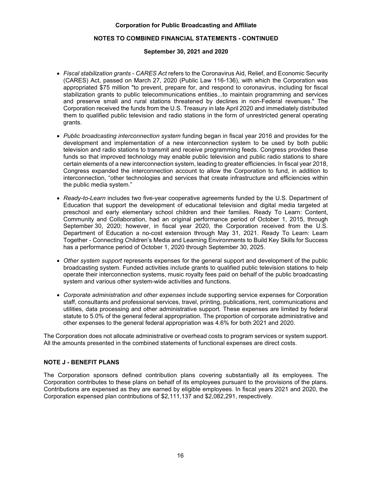# **NOTES TO COMBINED FINANCIAL STATEMENTS - CONTINUED**

# **September 30, 2021 and 2020**

- *Fiscal stabilization grants CARES Act* refers to the Coronavirus Aid, Relief, and Economic Security (CARES) Act, passed on March 27, 2020 (Public Law 116-136), with which the Corporation was appropriated \$75 million "to prevent, prepare for, and respond to coronavirus, including for fiscal stabilization grants to public telecommunications entities...to maintain programming and services and preserve small and rural stations threatened by declines in non-Federal revenues." The Corporation received the funds from the U.S. Treasury in late April 2020 and immediately distributed them to qualified public television and radio stations in the form of unrestricted general operating grants.
- *Public broadcasting interconnection system* funding began in fiscal year 2016 and provides for the development and implementation of a new interconnection system to be used by both public television and radio stations to transmit and receive programming feeds. Congress provides these funds so that improved technology may enable public television and public radio stations to share certain elements of a new interconnection system, leading to greater efficiencies. In fiscal year 2018, Congress expanded the interconnection account to allow the Corporation to fund, in addition to interconnection, "other technologies and services that create infrastructure and efficiencies within the public media system."
- *Ready-to-Learn* includes two five-year cooperative agreements funded by the U.S. Department of Education that support the development of educational television and digital media targeted at preschool and early elementary school children and their families. Ready To Learn: Content, Community and Collaboration, had an original performance period of October 1, 2015, through September 30, 2020; however, in fiscal year 2020, the Corporation received from the U.S. Department of Education a no-cost extension through May 31, 2021. Ready To Learn: Learn Together - Connecting Children's Media and Learning Environments to Build Key Skills for Success has a performance period of October 1, 2020 through September 30, 2025.
- *Other system support* represents expenses for the general support and development of the public broadcasting system. Funded activities include grants to qualified public television stations to help operate their interconnection systems, music royalty fees paid on behalf of the public broadcasting system and various other system-wide activities and functions.
- *Corporate administration and other expenses* include supporting service expenses for Corporation staff, consultants and professional services, travel, printing, publications, rent, communications and utilities, data processing and other administrative support. These expenses are limited by federal statute to 5.0% of the general federal appropriation. The proportion of corporate administrative and other expenses to the general federal appropriation was 4.6% for both 2021 and 2020.

The Corporation does not allocate administrative or overhead costs to program services or system support. All the amounts presented in the combined statements of functional expenses are direct costs.

# **NOTE J - BENEFIT PLANS**

The Corporation sponsors defined contribution plans covering substantially all its employees. The Corporation contributes to these plans on behalf of its employees pursuant to the provisions of the plans. Contributions are expensed as they are earned by eligible employees. In fiscal years 2021 and 2020, the Corporation expensed plan contributions of \$2,111,137 and \$2,082,291, respectively.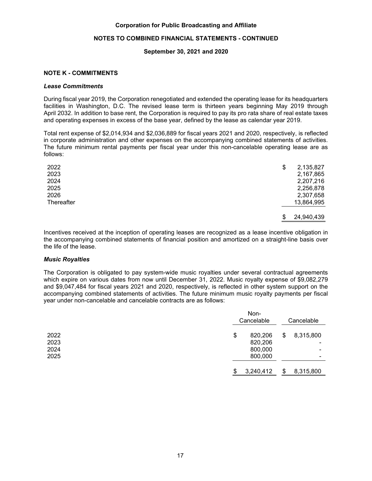# **NOTES TO COMBINED FINANCIAL STATEMENTS - CONTINUED**

## **September 30, 2021 and 2020**

# **NOTE K - COMMITMENTS**

#### *Lease Commitments*

During fiscal year 2019, the Corporation renegotiated and extended the operating lease for its headquarters facilities in Washington, D.C. The revised lease term is thirteen years beginning May 2019 through April 2032. In addition to base rent, the Corporation is required to pay its pro rata share of real estate taxes and operating expenses in excess of the base year, defined by the lease as calendar year 2019.

Total rent expense of \$2,014,934 and \$2,036,889 for fiscal years 2021 and 2020, respectively, is reflected in corporate administration and other expenses on the accompanying combined statements of activities. The future minimum rental payments per fiscal year under this non-cancelable operating lease are as follows:

| 2022       | \$<br>2,135,827  |
|------------|------------------|
| 2023       | 2,167,865        |
| 2024       | 2,207,216        |
| 2025       | 2,256,878        |
| 2026       | 2,307,658        |
| Thereafter | 13,864,995       |
|            | \$<br>24,940,439 |
|            |                  |

Incentives received at the inception of operating leases are recognized as a lease incentive obligation in the accompanying combined statements of financial position and amortized on a straight-line basis over the life of the lease.

## *Music Royalties*

The Corporation is obligated to pay system-wide music royalties under several contractual agreements which expire on various dates from now until December 31, 2022. Music royalty expense of \$9,082,279 and \$9,047,484 for fiscal years 2021 and 2020, respectively, is reflected in other system support on the accompanying combined statements of activities. The future minimum music royalty payments per fiscal year under non-cancelable and cancelable contracts are as follows:

|                              | Non-<br>Cancelable                             |    | Cancelable               |  |
|------------------------------|------------------------------------------------|----|--------------------------|--|
| 2022<br>2023<br>2024<br>2025 | \$<br>820,206<br>820,206<br>800,000<br>800,000 | \$ | 8,315,800<br>۰<br>۰<br>۰ |  |
|                              | \$<br>3,240,412                                | \$ | 8,315,800                |  |